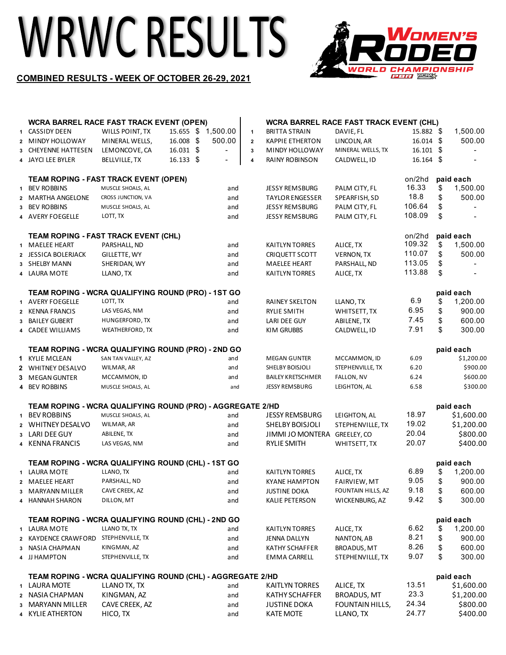## WRWC RESULTS



## **COMBINED RESULTS - WEEK OF OCTOBER 26-29, 2021**

|              |                                                    | <b>WCRA BARREL RACE FAST TRACK EVENT (OPEN)</b>            |          |                | <b>WCRA BARREL RACE FAST TRACK EVENT (CHL)</b> |                    |             |    |                       |
|--------------|----------------------------------------------------|------------------------------------------------------------|----------|----------------|------------------------------------------------|--------------------|-------------|----|-----------------------|
| $\mathbf{1}$ | CASSIDY DEEN                                       | 15.655 \$<br>WILLS POINT, TX                               | 1,500.00 | $\mathbf{1}$   | <b>BRITTA STRAIN</b>                           | DAVIE, FL          | 15.882 \$   |    | 1,500.00              |
|              | 2 MINDY HOLLOWAY                                   | 16.008 \$<br>MINERAL WELLS,                                | 500.00   | $\overline{2}$ | KAPPIE ETHERTON                                | LINCOLN, AR        | 16.014 \$   |    | 500.00                |
|              | 3 CHEYENNE HATTESEN                                | 16.031 \$<br>LEMONCOVE, CA                                 |          | $\mathbf 3$    | MINDY HOLLOWAY                                 | MINERAL WELLS, TX  | $16.101$ \$ |    |                       |
|              | 4 JAYCI LEE BYLER                                  | 16.133 \$<br>BELLVILLE, TX                                 |          | 4              | RAINY ROBINSON                                 | CALDWELL, ID       | 16.164 \$   |    |                       |
|              |                                                    |                                                            |          |                |                                                |                    |             |    |                       |
|              |                                                    | <b>TEAM ROPING - FAST TRACK EVENT (OPEN)</b>               |          |                |                                                |                    | on/2hd      |    | paid each             |
| $\mathbf{1}$ | <b>BEV ROBBINS</b>                                 | MUSCLE SHOALS, AL                                          | and      |                | <b>JESSY REMSBURG</b>                          | PALM CITY, FL      | 16.33       | \$ | 1,500.00              |
| $\mathbf{2}$ | <b>MARTHA ANGELONE</b>                             | CROSS JUNCTION, VA                                         | and      |                | <b>TAYLOR ENGESSER</b>                         | SPEARFISH, SD      | 18.8        | \$ | 500.00                |
|              | 3 BEV ROBBINS                                      | MUSCLE SHOALS, AL                                          | and      |                | <b>JESSY REMSBURG</b>                          | PALM CITY, FL      | 106.64      | \$ |                       |
|              | 4 AVERY FOEGELLE                                   | LOTT, TX                                                   | and      |                | <b>JESSY REMSBURG</b>                          | PALM CITY, FL      | 108.09      | \$ |                       |
|              |                                                    | TEAM ROPING - FAST TRACK EVENT (CHL)                       |          |                |                                                |                    | on/2hd      |    | paid each             |
|              | 1 MAELEE HEART                                     | PARSHALL, ND                                               | and      |                | KAITLYN TORRES                                 | ALICE, TX          | 109.32      | \$ | 1,500.00              |
|              | 2 JESSICA BOLERJACK                                | GILLETTE, WY                                               | and      |                | CRIQUETT SCOTT                                 | <b>VERNON, TX</b>  | 110.07      | \$ | 500.00                |
|              | 3 SHELBY MANN                                      | SHERIDAN, WY                                               | and      |                | <b>MAELEE HEART</b>                            | PARSHALL, ND       | 113.05      | \$ |                       |
|              | 4 LAURA MOTE                                       | LLANO, TX                                                  | and      |                | KAITLYN TORRES                                 | ALICE, TX          | 113.88      | \$ |                       |
|              |                                                    |                                                            |          |                |                                                |                    |             |    |                       |
|              |                                                    | TEAM ROPING - WCRA QUALIFYING ROUND (PRO) - 1ST GO         |          |                |                                                |                    |             |    | paid each             |
|              | 1 AVERY FOEGELLE                                   | LOTT, TX                                                   | and      |                | RAINEY SKELTON                                 | LLANO, TX          | 6.9         | \$ | 1,200.00              |
|              | 2 KENNA FRANCIS                                    | LAS VEGAS, NM                                              | and      |                | RYLIE SMITH                                    | WHITSETT, TX       | 6.95        | \$ | 900.00                |
| 3            | BAILEY GUBERT                                      | HUNGERFORD, TX                                             | and      |                | LARI DEE GUY                                   | ABILENE, TX        | 7.45        | \$ | 600.00                |
|              | 4 CADEE WILLIAMS                                   | WEATHERFORD, TX                                            | and      |                | KIM GRUBBS                                     | CALDWELL, ID       | 7.91        | \$ | 300.00                |
|              | TEAM ROPING - WCRA QUALIFYING ROUND (PRO) - 2ND GO |                                                            |          |                |                                                |                    |             |    | paid each             |
|              | 1 KYLIE MCLEAN                                     | SAN TAN VALLEY, AZ                                         | and      |                | <b>MEGAN GUNTER</b>                            | MCCAMMON, ID       | 6.09        |    | \$1,200.00            |
|              | 2 WHITNEY DESALVO                                  | WILMAR, AR                                                 | and      |                | SHELBY BOISJOLI                                | STEPHENVILLE, TX   | 6.20        |    | \$900.00              |
|              | 3 MEGAN GUNTER                                     | MCCAMMON, ID                                               | and      |                | <b>BAILEY KRETSCHMER</b>                       | FALLON, NV         | 6.24        |    | \$600.00              |
|              | 4 BEV ROBBINS                                      | MUSCLE SHOALS, AL                                          | and      |                | <b>JESSY REMSBURG</b>                          | LEIGHTON, AL       | 6.58        |    | \$300.00              |
|              |                                                    | TEAM ROPING - WCRA QUALIFYING ROUND (PRO) - AGGREGATE 2/HD |          |                |                                                |                    |             |    | paid each             |
|              | 1 BEV ROBBINS                                      | MUSCLE SHOALS, AL                                          | and      |                | <b>JESSY REMSBURG</b>                          | LEIGHTON, AL       | 18.97       |    | \$1,600.00            |
|              | 2 WHITNEY DESALVO                                  | WILMAR, AR                                                 | and      |                | SHELBY BOISJOLI                                | STEPHENVILLE, TX   | 19.02       |    | \$1,200.00            |
|              | 3 LARI DEE GUY                                     | ABILENE, TX                                                | and      |                | JIMMI JO MONTERA                               | GREELEY, CO        | 20.04       |    | \$800.00              |
|              | 4 KENNA FRANCIS                                    | LAS VEGAS, NM                                              | and      |                | <b>RYLIE SMITH</b>                             | WHITSETT, TX       | 20.07       |    | \$400.00              |
|              |                                                    | TEAM ROPING - WCRA QUALIFYING ROUND (CHL) - 1ST GO         |          |                |                                                |                    |             |    |                       |
|              | 1 LAURA MOTE                                       | LLANO, TX                                                  | and      |                | <b>KAITLYN TORRES</b>                          | ALICE, TX          | 6.89        | \$ | paid each<br>1,200.00 |
|              | 2 MAELEE HEART                                     | PARSHALL, ND                                               | and      |                | KYANE HAMPTON                                  | FAIRVIEW, MT       | 9.05        | \$ | 900.00                |
|              | 3 MARYANN MILLER                                   | CAVE CREEK, AZ                                             | and      |                | <b>JUSTINE DOKA</b>                            | FOUNTAIN HILLS, AZ | 9.18        | \$ | 600.00                |
|              | 4 HANNAH SHARON                                    | DILLON, MT                                                 | and      |                | KALIE PETERSON                                 | WICKENBURG, AZ     | 9.42        | \$ | 300.00                |
|              |                                                    |                                                            |          |                |                                                |                    |             |    |                       |
|              | TEAM ROPING - WCRA QUALIFYING ROUND (CHL) - 2ND GO |                                                            |          |                |                                                |                    |             |    | paid each             |
|              | 1 LAURA MOTE                                       | LLANO TX, TX                                               | and      |                | KAITLYN TORRES                                 | ALICE, TX          | 6.62        | \$ | 1,200.00              |
|              | 2 KAYDENCE CRAWFORD                                | STEPHENVILLE, TX                                           | and      |                | JENNA DALLYN                                   | NANTON, AB         | 8.21        | \$ | 900.00                |
|              | 3 NASIA CHAPMAN                                    | KINGMAN, AZ                                                | and      |                | KATHY SCHAFFER                                 | BROADUS, MT        | 8.26        | \$ | 600.00                |
|              | 4 JJ HAMPTON                                       | STEPHENVILLE, TX                                           | and      |                | EMMA CARRELL                                   | STEPHENVILLE, TX   | 9.07        | \$ | 300.00                |
|              |                                                    | TEAM ROPING - WCRA QUALIFYING ROUND (CHL) - AGGREGATE 2/HD |          |                |                                                |                    |             |    | paid each             |
|              | 1 LAURA MOTE                                       | LLANO TX, TX                                               | and      |                | <b>KAITLYN TORRES</b>                          | ALICE, TX          | 13.51       |    | \$1,600.00            |
|              | 2 NASIA CHAPMAN                                    | KINGMAN, AZ                                                | and      |                | <b>KATHY SCHAFFER</b>                          | <b>BROADUS, MT</b> | 23.3        |    | \$1,200.00            |
|              | 3 MARYANN MILLER                                   | CAVE CREEK, AZ                                             | and      |                | <b>JUSTINE DOKA</b>                            | FOUNTAIN HILLS,    | 24.34       |    | \$800.00              |
|              | 4 KYLIE ATHERTON                                   | HICO, TX                                                   | and      |                | <b>KATE MOTE</b>                               | LLANO, TX          | 24.77       |    | \$400.00              |